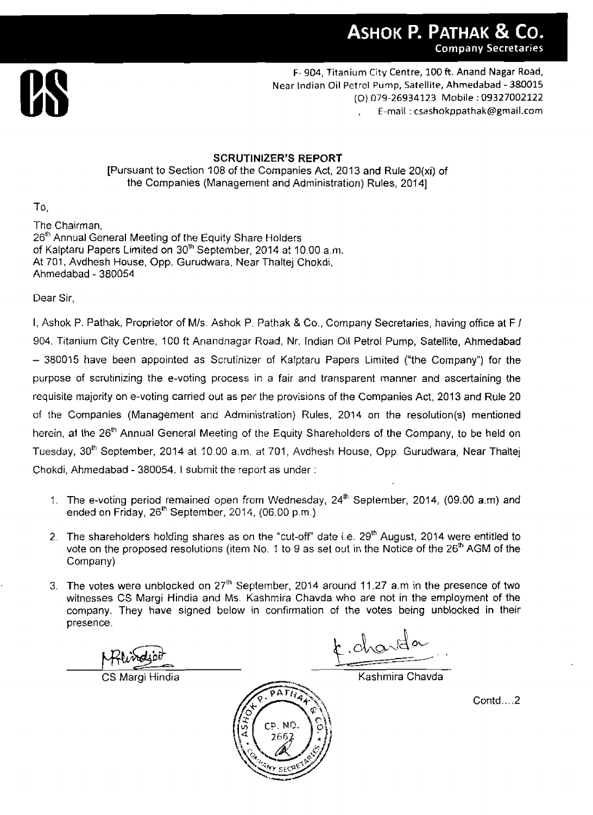

**F- 904,** Titanium City Centre, **100** ft. Anand Nagar Road, Near Indian Oil Petrol Pump, Satellite, Ahmedabad - 380015 (0) 079-26934123 Mobile : 09327002122 , E-mail : **csashokppathak@grnail.com** 

#### SCRUTINIZER'S REPORT

[Pursuant to Section 108 of the Companies Act, 201 3 **and** Rule **20(xi)** of the Companies (Management and Administration) Rules, 20141

To.

The Chairman, 26<sup>th</sup> Annual General Meeting of the Equity Share Holders of Kalptaru Papers Limited on 30"' September, 2014 at 10.00 a.m. At 701, Avdhesh House, Opp. Gurudwara, Near Thaltej Chokdi, Ahmedabad - 380054

Dear Sir,

I, Ashok P. Pathak, Proprietor of Mls. Ashok P. Pathak & Co., Company Secretaries, having office at F I 904. Titanium City Centre, 100 ft Anandnagar Road, Nr, Indian Oil Petrol Pump, Satellite, Ahmedabad - 380015 have been appointed as Scrutinizer of Kalptaru Papers Limited ("the Company") for the purpose of scrutinizing the e-voting process in a fair and transparent manner and ascertaining the requisite majority on e-voting carried out as per the provisions of the Companies Act, 2013 and **Rule** 20 of the Companies (Management ancl Administration) Rules, 2014 on the resolution(s) mentioned herein, at the 26<sup>th</sup> Annual General Meeting of the Equity Shareholders of the Company, to be held on Tuesday, 30<sup>th</sup> September, 2014 at 10.00 a.m. at 701, Avdhesh House, Opp. Gurudwara, Near Thaltej Chokdi, Ahmedabad - 380054. 1 submit the report as under :

- 1. The e-voting period remained open from Wednesday, 24<sup>th</sup> September, 2014, (09.00 a.m) and ended on Friday, 26<sup>th</sup> September, 2014, (06.00 p.m.)
- 2. The shareholders holding shares as on the "cut-off" date i.e. 29<sup>th</sup> August, 2014 were entitled to vote on the proposed resolutions (item No. 1 to 9 as set out in the Notice of the  $26<sup>th</sup>$  AGM of the Company)
- 3. The votes were unblocked on  $27<sup>th</sup>$  September, 2014 around 11.27 a.m in the presence of two witnesses CS Margi Hindia and Ms. Kashmira Chavda who are not in the employment of the company. They have signed below in confirmation of the votes being unblocked in their presence.

D. NO

drarda

**CS Margi Hindia** Kashmira Chavda

Contd.. . **.2**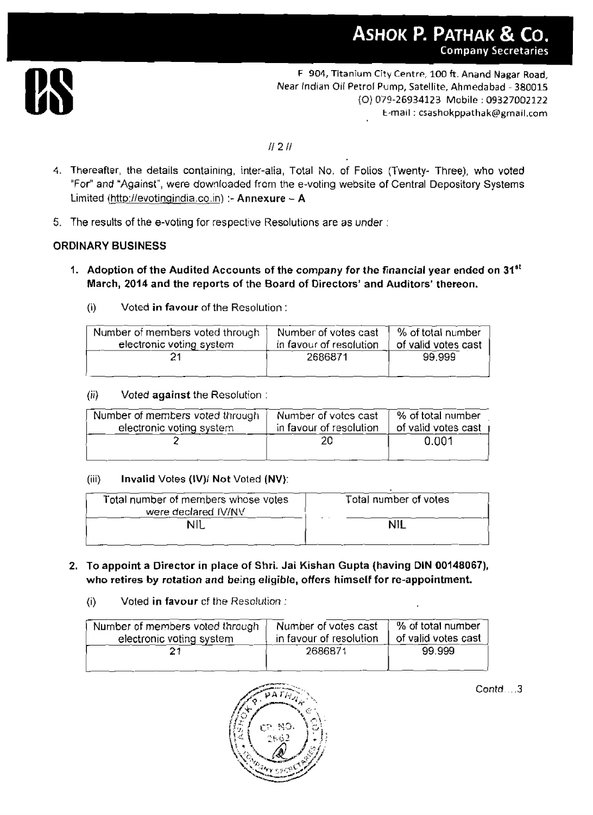

**F 904,** Titanium City **Centre,** 100 ft. **Anand** Nagar **Road,**  Near Indian Oil Petrol Pump, Satellite, Ahmeda bad - **380015**  {O) **079-26934123** Mobile : **09327002122**  t-mail : **csashokppathak@gmail.com** 

## $1121$

- **4,** Thereafter, the details containing, inter-alia, Total No, of Folios (Twenty- Three), who voted "For" and **"Against",** were downloaded from the e-voting website of Central Depository Systems Limited (http://evotingindia.co.in) :- Annexure - A
- 5. The results of the e-voting for respective Resolutions are as under :

## **ORDINARY BUSINESS**

- I **Adoption of the Audited Accounts of the company for the financial year ended on 31st March, 2014 and the reports of the Board of Directors' and Auditors' thereon.**  doption of the Audited Accounts of<br>arch, 2014 and the reports of the B<br>Voted in favour of the Resolut<br>Number of members voted through
	- (i) **Voted in favour** of the Resolution

| Number of members voted through | Number of votes cast    | % of total number   |
|---------------------------------|-------------------------|---------------------|
| electronic voting system        | in favour of resolution | of valid votes cast |
|                                 | 2686871                 | 99.999              |

## **jii)** Voted **against** the Resolution :

| Number of members voted through | Number of votes cast    | $\sqrt{ }$ % of total number |
|---------------------------------|-------------------------|------------------------------|
| electronic voting system        | in favour of resolution | of valid votes cast          |
|                                 | 20                      | 0.001                        |
|                                 |                         |                              |

#### (iii) **Invalid Votes (IV)/ Not Voted (NV):**

| Total number of members whose votes | Total number of votes |
|-------------------------------------|-----------------------|
| were declared IV/NV                 |                       |
|                                     | N11                   |
|                                     |                       |

- **2. To appoint a Director in place of Shri. Jai Kishan Gupta (having DIN 00148067), who retires by rotation and being eligible, offers himself for re-appointment.** 
	- (i) Voted **in favour** cf the *Resolution* :

| Number of members voted through | Number of votes cast    | % of total number   |
|---------------------------------|-------------------------|---------------------|
| electronic voting system        | in favour of resolution | of valid votes cast |
|                                 | 2686871                 | 99.999              |



*Contd* . **.3**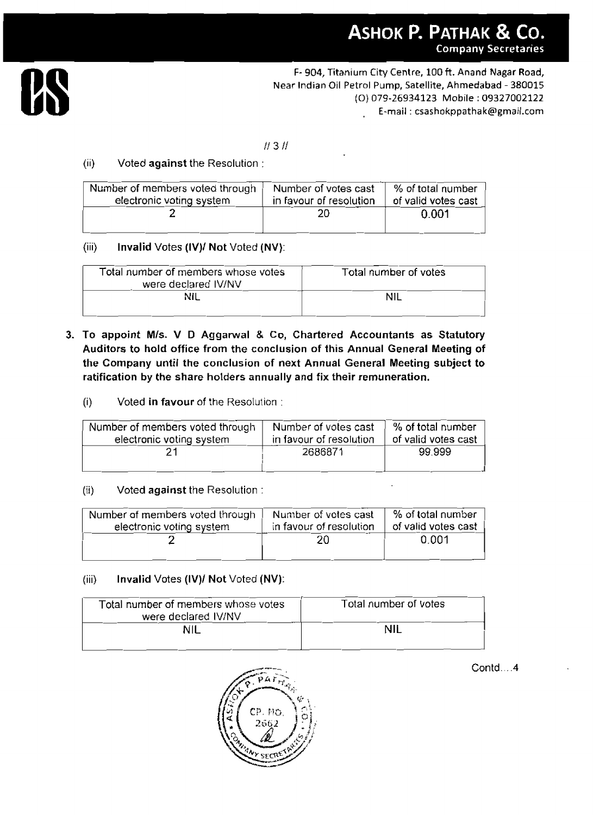

**F- 904,** Titanillm **City** Centre, **100** ft. **Anand Nagar** Road, Near Indian Oil Petrol Pump, Satellite, Ahmedabad - 380015 (0) 079-26934123 Mobile : 09327002122 , E-mail : **csashokppathak@gmail.com** 

## $1131$

## (ii) Voted against the Resolution :

| Number of members voted through | Number of votes cast    | % of total number   |
|---------------------------------|-------------------------|---------------------|
| electronic voting system        | in favour of resolution | of valid votes cast |
|                                 | 20                      | $0.001\,$           |

## (iii) Invalid Votes (IV)/ Not Voted (NV):

|       | <b>THE READS TO A REPORT OF A STATE OF A READ OF A READ OF A READ OF A READ OF A READ OF A READ OF A RE</b><br>electronic voting system | i vullibe: Ul veles casi<br>in favour of resolution |                       | וסעווועוו ושוט שי<br>of valid votes cast |
|-------|-----------------------------------------------------------------------------------------------------------------------------------------|-----------------------------------------------------|-----------------------|------------------------------------------|
|       |                                                                                                                                         | 20                                                  | 0.001                 |                                          |
| (iii) | Invalid Votes (IV)/ Not Voted (NV):                                                                                                     |                                                     |                       |                                          |
|       | Total number of members whose votes<br>were declared IV/NV                                                                              |                                                     | Total number of votes |                                          |
|       | NIL                                                                                                                                     |                                                     | <b>NIL</b>            |                                          |

- **3. To appoint Mls.** V D Aggannral & Co, Chartered **Accountants as** Statutory Auditors to hold office from the conclusion of this Annual General Meeting of the Company until the conclusion of next Annual General Meeting subject to ratification by the share holders annually and fix their **remuneration.** 
	- (i) Voted **in favour** of the Resolution :

| raggiourney the share housers annually and the their remaineration. |                                                 |                                          |  |  |
|---------------------------------------------------------------------|-------------------------------------------------|------------------------------------------|--|--|
| Voted in favour of the Resolution:<br>(i)                           |                                                 |                                          |  |  |
| Number of members voted through<br>electronic voting system         | Number of votes cast<br>in favour of resolution | % of total number<br>of valid votes cast |  |  |
|                                                                     | 2686871                                         | 99.999                                   |  |  |
| 75X.<br>Vatod against the Pecolution :                              |                                                 |                                          |  |  |

## $(ii)$  Voted against the Resolution :

| Voted against the Resolution:<br>(ii)                       |                                                 |                                          |
|-------------------------------------------------------------|-------------------------------------------------|------------------------------------------|
| Number of members voted through<br>electronic voting system | Number of votes cast<br>in favour of resolution | % of total number<br>of valid votes cast |
|                                                             | 20                                              | 0.001                                    |

## (iii) Invalid Votes (IV)I Not Voted (NV):

| Total number of members whose votes<br>were declared IV/NV | Total number of votes |  |
|------------------------------------------------------------|-----------------------|--|
| NIL                                                        | NII                   |  |
|                                                            |                       |  |



Contd.. . **.4**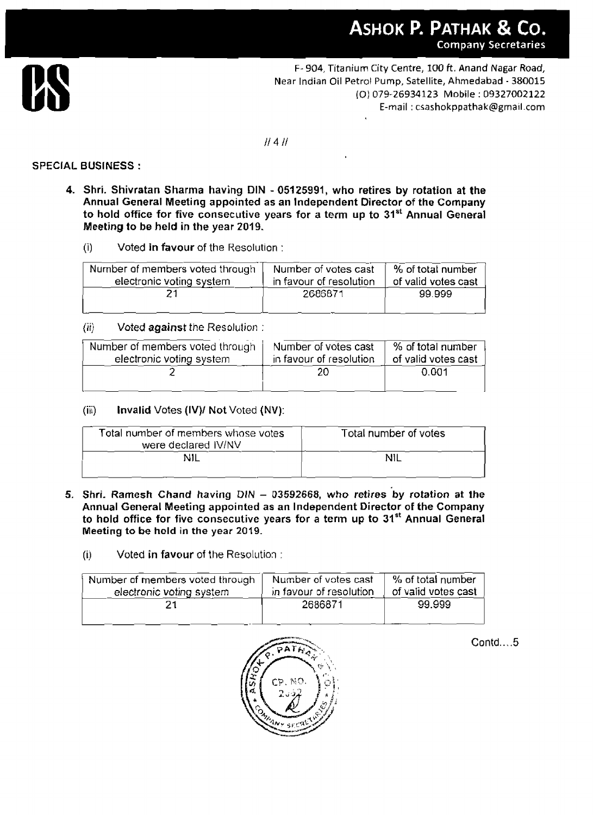

F- 904, Titanium City Centre, **100** ft. **Anand** Nagar Road, **Near** Indian Oil Petrol Pump, Satellite, **Ahmedabad** - 380015 (0) 079-26934123 Mobile : 09327002122 E-mail : **csashokppathak@gmail.com** 

 $II$  4 $II$ 

#### **SPECIAL BUSINESS** :

- **4. Shri. Shivratan Sharma having DIN 05125991, who retires by rotation at the Annual General Meeting appointed as an Independent Director** of **the Company**  to hold office for five consecutive years for a term up to 31<sup>st</sup> Annual General **Meeting to be held in the year 2019.** 
	- (i) Voted **in favour** of the Kesolution :

| Number of members voted through | Number of votes cast    | % of total number   |
|---------------------------------|-------------------------|---------------------|
| electronic voting system        | in favour of resolution | of valid votes cast |
|                                 | 2686871                 | 99.999              |

## (iij **Voted against** the Resolution :

| Number of members voted through | Number of votes cast    | % of total number   |
|---------------------------------|-------------------------|---------------------|
| electronic voting system        | in favour of resolution | of valid votes cast |
|                                 | 20                      | 0.001               |

# (iii) **Invalid** Votes **(IV)I Not** Voted **(NV):**

| electronic voting system                                   | in favour of resolution | of valid votes cast   |  |
|------------------------------------------------------------|-------------------------|-----------------------|--|
|                                                            | 20                      | 0.001                 |  |
| (iii)<br><b>Invalid Votes (IV)/ Not Voted (NV):</b>        |                         |                       |  |
| Total number of members whose votes<br>were declared IV/NV |                         | Total number of votes |  |
| NIL                                                        |                         | NIL                   |  |
|                                                            |                         |                       |  |

**5. Shri. Ramesh Chand having** DIN - **03592668, who retires by rotation at the Annual General Meeting appointed as an Independent Director of the Company to hold office for five consecutive years for a term up to 31'' Annual General Meeting to be held** in **the** year **2019.** 

## **(i)** Voted in favour of the Resolution :

| Number of members voted through | Number of votes cast    | % of total number   |
|---------------------------------|-------------------------|---------------------|
| electronic voting system        | in favour of resolution | of valid votes cast |
|                                 | 2686871                 | 99.999              |
|                                 |                         |                     |



**Contd..**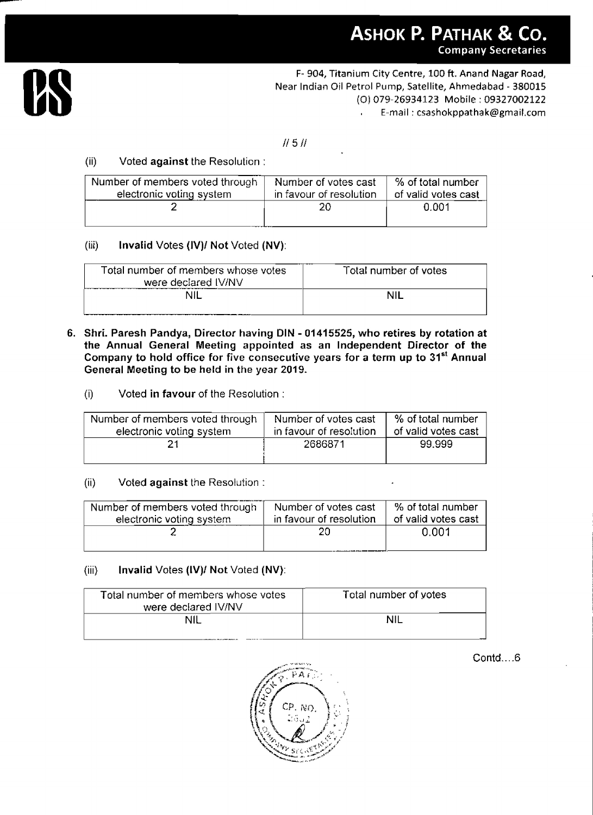

F- **904,** Titanium City **Centre, 100** ft. **Anand Nagar Road,**  Near Indian Oil Petrol Pump, Satellite, Ahmedabad - 380015 (0) 079-26934123 Mobile : 09327002122 E-mail : csashokppathak@gmaii.com

#### $11511$

# (ii) Voted **against** the Resolution :

| Number of members voted through | Number of votes cast    | % of total number   |
|---------------------------------|-------------------------|---------------------|
| electronic voting system        | in favour of resolution | of valid votes cast |
|                                 | 20                      | 0.001               |

## (iii) **Invalid** Votes **(1V)I Not** Voted **(NV):**

| Total number of members whose votes<br>were declared IV/NV                                                                                                                                                                                                                                                                                           |                         | Total number of votes |
|------------------------------------------------------------------------------------------------------------------------------------------------------------------------------------------------------------------------------------------------------------------------------------------------------------------------------------------------------|-------------------------|-----------------------|
| <b>NIL</b>                                                                                                                                                                                                                                                                                                                                           |                         | <b>NIL</b>            |
| Shri. Paresh Pandya, Director having DIN - 01415525, who retires by rotation at<br>the Annual General Meeting appointed as an Independent Director of the<br>Company to hold office for five consecutive years for a term up to 31 <sup>st</sup> Annual<br>General Meeting to be held in the year 2019.<br>Voted in favour of the Resolution:<br>(i) |                         |                       |
|                                                                                                                                                                                                                                                                                                                                                      | Number of votes cast    | % of total number     |
| Number of members voted through                                                                                                                                                                                                                                                                                                                      |                         |                       |
|                                                                                                                                                                                                                                                                                                                                                      | in favour of resolution | of valid votes cast   |
| electronic voting system<br>21                                                                                                                                                                                                                                                                                                                       | 2686871                 | 99.999                |
| (ii)<br>Voted against the Resolution:                                                                                                                                                                                                                                                                                                                |                         |                       |
| Number of members voted through                                                                                                                                                                                                                                                                                                                      | Number of votes cast    | % of total number     |
| electronic voting system                                                                                                                                                                                                                                                                                                                             | in favour of resolution | of valid votes cast   |

- **6. Shri. Paresh Pandya, Director having DIN 01 41 5525, who retires by rotation at the Annual General Meeting appointed as an Independent Director of the Company to hold office for five consecutive years for a term up to 31st Annual General Meeting to be held in** the **year 2019.** 
	- (i) Voted in **favour** of the Resolution :

| Number of members voted through | Number of votes cast    | % of total number   |
|---------------------------------|-------------------------|---------------------|
| electronic voting system        | in favour of resolution | of valid votes cast |
|                                 | 2686871                 | 99.999              |
|                                 |                         |                     |

## (ii) Voted against the Resolution :

| Number of members voted through | Number of votes cast    | % of total number   |
|---------------------------------|-------------------------|---------------------|
| electronic voting system        | in favour of resolution | of valid votes cast |
|                                 | 20                      | 0.001               |

# (iii) **Invalid** Votes **(IV)I Not** Voted **(NV):**

| Total number of members whose votes<br>were declared IV/NV | Total number of yotes |
|------------------------------------------------------------|-----------------------|
| NIL                                                        |                       |



Contd....6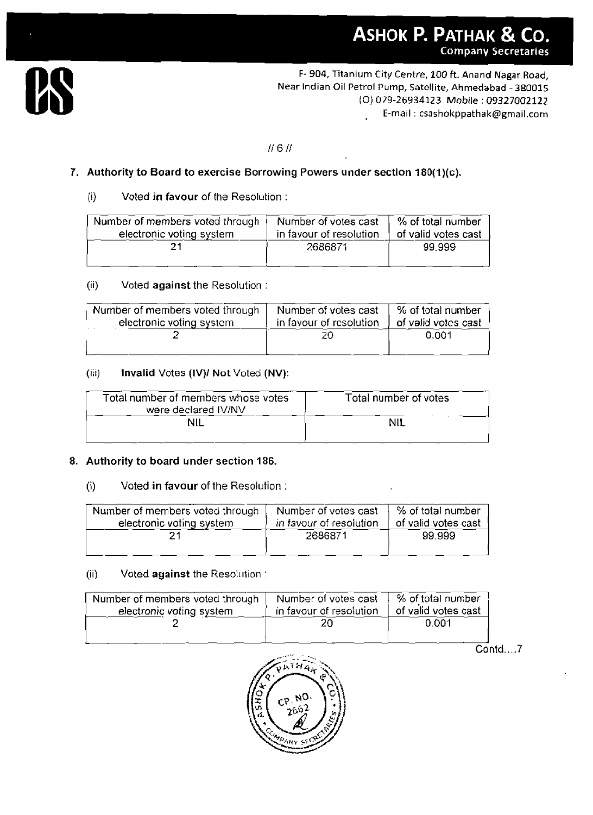

F- 904, Titanium City Centre, 100 ft. **Anand Nagar Road, Near** Indian Oil Petrol Pump, Satellite, **Ahmedabad** - 380015 (0) **079-26934123** Mobile : **09327002122**  E-mail : **csashokppathak@gmail.com** 

#### $H$  6 $H$

# **7. Authority to Board to exercise Borrowing Powers under section 180(l)(c).**

#### ji) Voted **in favour** of the Resolution :

| Authority to Board to exercise Borrowing Powers under section 180(1)(c).                                                                                   |         |        |
|------------------------------------------------------------------------------------------------------------------------------------------------------------|---------|--------|
| $\{ii\}$<br>Voted in favour of the Resolution:                                                                                                             |         |        |
| % of total number<br>Number of members voted through<br>Number of votes cast<br>electronic voting system<br>in favour of resolution<br>of valid votes cast |         |        |
|                                                                                                                                                            | 2686871 | 99.999 |

#### (ii) **Voted against** the Resolution :

| , 11 J<br>voted against the resolution.                     |                                                 |                                          |
|-------------------------------------------------------------|-------------------------------------------------|------------------------------------------|
| Number of members voted through<br>electronic voting system | Number of votes cast<br>in favour of resolution | % of total number<br>of valid votes cast |
|                                                             | 20                                              | 0.001                                    |

## **(iir) Invalid** Votes **(IV)I Not** Voted **(NV):**

| Number of votes cast<br>in favour of resolution | Y <sub>o</sub> of total number<br>of valid votes cast |
|-------------------------------------------------|-------------------------------------------------------|
| 20                                              | 0.001                                                 |
| Invalid Votes (IV)/ Not Voted (NV):             |                                                       |
| Total number of members whose votes             | Total number of votes                                 |
|                                                 | <b>NIL</b>                                            |
|                                                 |                                                       |

## **8. Authority to board under section 186.**

## (i) **Voted in favour** of the Resolution :

| Number of members voted through | Number of votes cast    | % of total number   |
|---------------------------------|-------------------------|---------------------|
| electronic voting system        | in favour of resolution | of valid votes cast |
|                                 | 2686871                 | 99.999              |

#### (ii) Voted against the Resolution :

| Number of members voted through | Number of votes cast    | % of total number   |
|---------------------------------|-------------------------|---------------------|
| electronic voting system        | in favour of resolution | of valid votes cast |
|                                 |                         | 0.001               |
|                                 |                         |                     |

 $Contd...$  7

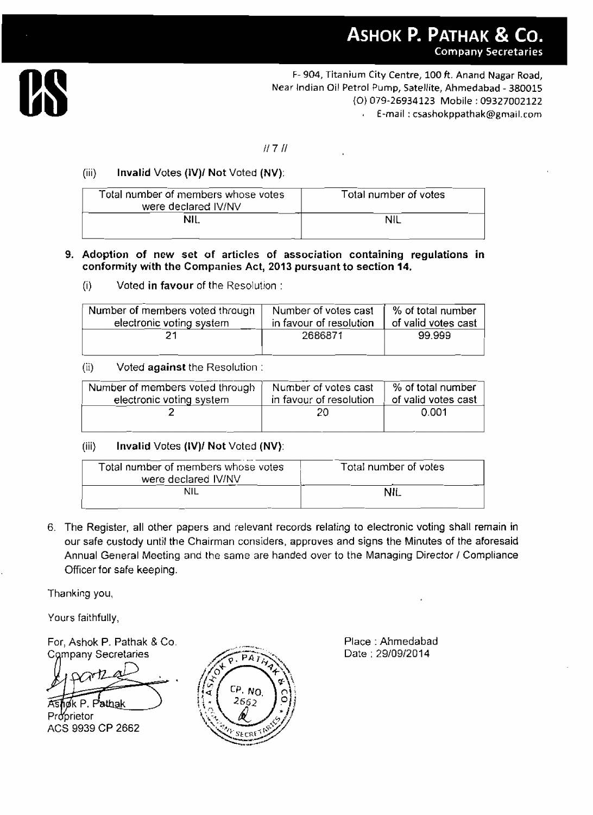

F- 904, Titanium City Centre, 100 ft. Anand Nagar Road, Near Indian Oil Petrol Pump, Satellite, **Ahmedabad** - 380015 (0) 079-26934123 Mobile : 09327002122 E-mail : csashokppathak@gmail.com

## $H 7 H$

# (iii) **Invalid** Votes **(IV)I Not** Voted **(NV):**

| Total number of members whose votes<br>were declared IV/NV | Total number of votes |
|------------------------------------------------------------|-----------------------|
| <b>NIL</b>                                                 |                       |

#### **9. Adoption of new set of articles of association containing regulations in conformity with the Companies Act, 2013 pursuant to section 14.**

(i) Voted **in favour** of the Resolution :

| Number of members voted through | Number of votes cast    | % of total number   |
|---------------------------------|-------------------------|---------------------|
| electronic voting system        | in favour of resolution | of valid votes cast |
|                                 | 2686871                 | 99.999              |

(ii) Voted **against** the Resolution :

| Number of members voted through | Number of votes cast    | % of total number   |
|---------------------------------|-------------------------|---------------------|
| electronic voting system        | in favour of resolution | of valid votes cast |
|                                 | 20.                     | 0.001               |

## (iii) **Invalid** Votes **(1V)I Not** Voted (NV):

| Total number of members whose votes<br>were declared IV/NV | Total number of votes |
|------------------------------------------------------------|-----------------------|
|                                                            | NIL.                  |

6. The Register, all other papers and relevant records relating to electronic voting shall remain in our safe custody until the Chairman considers, approves and signs the Minutes of the aforesaid Annual General Meeting and the same are handed over to the Managing Director / Compliance Officer for safe keeping.

Thanking you,

Yours faithfully,

For, Ashok P. Pathak & Co. **Company Secretaries** 

Proprietor<br>ACS 9939 CP 2662



Place : Ahmedabad Date : 2910912014